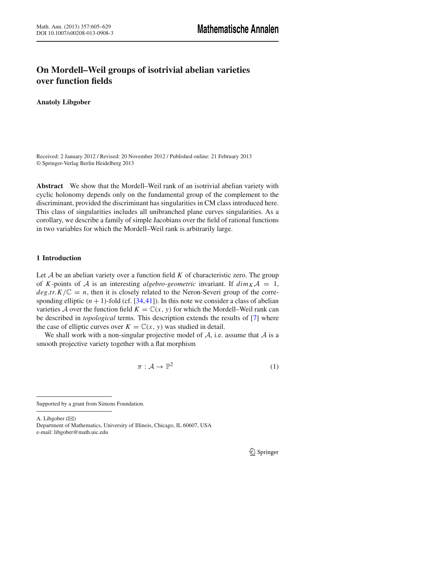# **On Mordell–Weil groups of isotrivial abelian varieties over function fields**

**Anatoly Libgober**

Received: 2 January 2012 / Revised: 20 November 2012 / Published online: 21 February 2013 © Springer-Verlag Berlin Heidelberg 2013

**Abstract** We show that the Mordell–Weil rank of an isotrivial abelian variety with cyclic holonomy depends only on the fundamental group of the complement to the discriminant, provided the discriminant has singularities in CM class introduced here. This class of singularities includes all unibranched plane curves singularities. As a corollary, we describe a family of simple Jacobians over the field of rational functions in two variables for which the Mordell–Weil rank is arbitrarily large.

# **1 Introduction**

Let *A* be an abelian variety over a function field *K* of characteristic zero. The group of *K*-points of *A* is an interesting *algebro-geometric* invariant. If  $\dim_K A = 1$ ,  $deg.tr.K/\mathbb{C} = n$ , then it is closely related to the Neron-Severi group of the corresponding elliptic  $(n + 1)$ -fold (cf. [34,41]). In this note we consider a class of abelian varieties A over the function field  $K = \mathbb{C}(x, y)$  for which the Mordell–Weil rank can be described in *topological* terms. This description extends the results of [7] where the case of elliptic curves over  $K = \mathbb{C}(x, y)$  was studied in detail.

We shall work with a non-singular projective model of *A*, i.e. assume that *A* is a smooth projective variety together with a flat morphism

$$
\pi: \mathcal{A} \to \mathbb{P}^2 \tag{1}
$$

Supported by a grant from Simons Foundation.

A. Libgober ( $\boxtimes$ )

Department of Mathematics, University of Illinois, Chicago, IL 60607, USA e-mail: libgober@math.uic.edu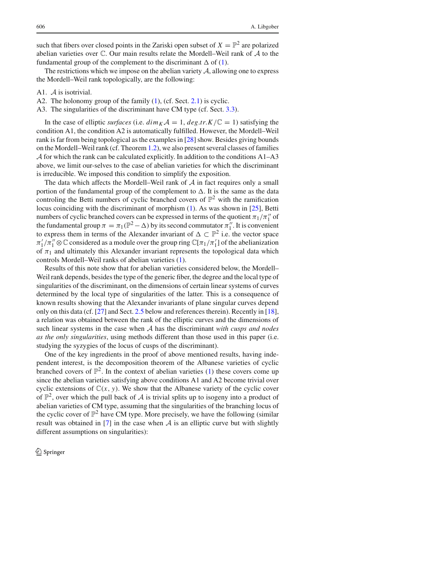such that fibers over closed points in the Zariski open subset of  $X = \mathbb{P}^2$  are polarized abelian varieties over C. Our main results relate the Mordell–Weil rank of *A* to the fundamental group of the complement to the discriminant  $\Delta$  of (1).

The restrictions which we impose on the abelian variety *A*, allowing one to express the Mordell–Weil rank topologically, are the following:

- A1. *A* is isotrivial.
- A2. The holonomy group of the family (1), (cf. Sect. 2.1) is cyclic.
- A3. The singularities of the discriminant have CM type (cf. Sect. 3.3).

In the case of elliptic *surfaces* (i.e.  $\dim_K A = 1$ ,  $\deg tr.K/\mathbb{C} = 1$ ) satisfying the condition A1, the condition A2 is automatically fulfilled. However, the Mordell–Weil rank is far from being topological as the examples in [28] show. Besides giving bounds on the Mordell–Weil rank (cf. Theorem 1.2), we also present several classes of families  $\mathcal A$  for which the rank can be calculated explicitly. In addition to the conditions A1–A3 above, we limit our-selves to the case of abelian varieties for which the discriminant is irreducible. We imposed this condition to simplify the exposition.

The data which affects the Mordell–Weil rank of *A* in fact requires only a small portion of the fundamental group of the complement to  $\Delta$ . It is the same as the data controling the Betti numbers of cyclic branched covers of  $\mathbb{P}^2$  with the ramification locus coinciding with the discriminant of morphism (1). As was shown in [25], Betti numbers of cyclic branched covers can be expressed in terms of the quotient  $\pi_1/\pi_1''$  of the fundamental group  $\pi = \pi_1(\mathbb{P}^2 - \Delta)$  by its second commutator  $\pi_1''$ . It is convenient to express them in terms of the Alexander invariant of  $\Delta \subset \mathbb{P}^2$  i.e. the vector space  $\pi'_1/\pi''_1 \otimes \mathbb{C}$  considered as a module over the group ring  $\mathbb{C}[\pi_1/\pi'_1]$  of the abelianization of  $\pi_1$  and ultimately this Alexander invariant represents the topological data which controls Mordell–Weil ranks of abelian varieties (1).

Results of this note show that for abelian varieties considered below, the Mordell– Weil rank depends, besides the type of the generic fiber, the degree and the local type of singularities of the discriminant, on the dimensions of certain linear systems of curves determined by the local type of singularities of the latter. This is a consequence of known results showing that the Alexander invariants of plane singular curves depend only on this data (cf. [27] and Sect. 2.5 below and references therein). Recently in [18], a relation was obtained between the rank of the elliptic curves and the dimensions of such linear systems in the case when *A* has the discriminant *with cusps and nodes as the only singularities*, using methods different than those used in this paper (i.e. studying the syzygies of the locus of cusps of the discriminant).

One of the key ingredients in the proof of above mentioned results, having independent interest, is the decomposition theorem of the Albanese varieties of cyclic branched covers of  $\mathbb{P}^2$ . In the context of abelian varieties (1) these covers come up since the abelian varieties satisfying above conditions A1 and A2 become trivial over cyclic extensions of  $\mathbb{C}(x, y)$ . We show that the Albanese variety of the cyclic cover of  $\mathbb{P}^2$ , over which the pull back of A is trivial splits up to isogeny into a product of abelian varieties of CM type, assuming that the singularities of the branching locus of the cyclic cover of  $\mathbb{P}^2$  have CM type. More precisely, we have the following (similar result was obtained in  $[7]$  in the case when  $A$  is an elliptic curve but with slightly different assumptions on singularities):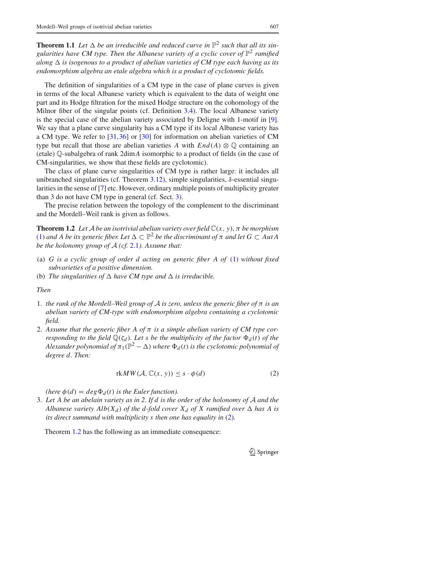**Theorem 1.1** Let  $\Delta$  be an irreducible and reduced curve in  $\mathbb{P}^2$  such that all its sin*gularities have CM type. Then the Albanese variety of a cyclic cover of*  $\mathbb{P}^2$  *ramified along*  $\Delta$  *is isogenous to a product of abelian varieties of CM type each having as its endomorphism algebra an etale algebra which is a product of cyclotomic fields.*

The definition of singularities of a CM type in the case of plane curves is given in terms of the local Albanese variety which is equivalent to the data of weight one part and its Hodge filtration for the mixed Hodge structure on the cohomology of the Milnor fiber of the singular points (cf. Definition 3.4). The local Albanese variety is the special case of the abelian variety associated by Deligne with 1-motif in [9]. We say that a plane curve singularity has a CM type if its local Albanese variety has a CM type. We refer to [31,36] or [30] for information on abelian varieties of CM type but recall that those are abelian varieties *A* with  $End(A) \otimes \mathbb{Q}$  containing an (etale) Q-subalgebra of rank 2dim*A* isomorphic to a product of fields (in the case of CM-singularities, we show that these fields are cyclotomic).

The class of plane curve singularities of CM type is rather large: it includes all unibranched singularities (cf. Theorem 3.12), simple singularities,  $\delta$ -essential singularities in the sense of [7] etc. However, ordinary multiple points of multiplicity greater than 3 do not have CM type in general (cf. Sect. 3).

The precise relation between the topology of the complement to the discriminant and the Mordell–Weil rank is given as follows.

**Theorem 1.2** *Let A be an isotrivial abelian variety over field*  $\mathbb{C}(x, y)$ *,*  $\pi$  *be morphism* (1) and A be its generic fiber. Let  $\Delta \subset \mathbb{P}^2$  be the discriminant of  $\pi$  and let  $G \subset Aut$  A *be the holonomy group of A (cf.* 2.1*). Assume that:*

- (a) *G is a cyclic group of order d acting on generic fiber A of* (1) *without fixed subvarieties of a positive dimension.*
- (b) The singularities of  $\Delta$  have CM type and  $\Delta$  is irreducible.

*Then*

- 1. *the rank of the Mordell–Weil group of A is zero, unless the generic fiber of* π *is an abelian variety of CM-type with endomorphism algebra containing a cyclotomic field.*
- 2. *Assume that the generic fiber A of* π *is a simple abelian variety of CM type corresponding to the field*  $\mathbb{Q}(\zeta_d)$ *. Let s be the multiplicity of the factor*  $\Phi_d(t)$  *of the Alexander polynomial of*  $\pi_1(\mathbb{P}^2 - \Delta)$  *where*  $\Phi_d(t)$  *is the cyclotomic polynomial of degree d. Then:*

$$
rkM W(\mathcal{A}, \mathbb{C}(x, y)) \leq s \cdot \phi(d)
$$
 (2)

*(here*  $\phi(d) = deg \Phi_d(t)$  *is the Euler function).* 

3. *Let A be an abelain variety as in 2. If d is the order of the holonomy of A and the Albanese variety Alb* $(X_d)$  *of the d-fold cover*  $X_d$  *of* X ramified over  $\Delta$  has A is *its direct summand with multiplicity s then one has equality in* (2)*.*

Theorem 1.2 has the following as an immediate consequence: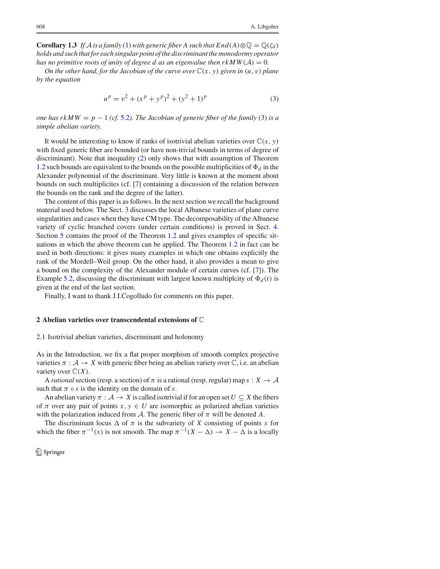**Corollary 1.3** *If*  $\mathcal{A}$  *is a family* (1)*with generic fiber A such that*  $End(A) \otimes \mathbb{Q} = \mathbb{Q}(\zeta_d)$ *holds and such that for each singular point of the discriminant the monodormy operator has no primitive roots of unity of degree d as an eigenvalue then*  $rkMW(A) = 0$ *.* 

*On the other hand, for the Jacobian of the curve over*  $\mathbb{C}(x, y)$  *given in*  $(u, v)$  *plane by the equation*

$$
up = v2 + (xp + yp)2 + (y2 + 1)p
$$
 (3)

*one has rkMW* =  $p - 1$  (*cf.* 5.2). The Jacobian of generic fiber of the family (3) is a *simple abelian variety.*

It would be interesting to know if ranks of isotrivial abelian varieties over  $\mathbb{C}(x, y)$ with fixed generic fiber are bounded (or have non-trivial bounds in terms of degree of discriminant). Note that inequality (2) only shows that with assumption of Theorem 1.2 such bounds are equivalent to the bounds on the possible multiplicities of  $\Phi_d$  in the Alexander polynomial of the discriminant. Very little is known at the moment about bounds on such multiplicites (cf. [7] containing a discussion of the relation between the bounds on the rank and the degree of the latter).

The content of this paper is as follows. In the next section we recall the background material used below. The Sect. 3 discusses the local Albanese varieties of plane curve singularities and cases when they have CM type. The decomposability of the Albanese variety of cyclic branched covers (under certain conditions) is proved in Sect. 4. Section 5 contains the proof of the Theorem 1.2 and gives examples of specific situations in which the above theorem can be applied. The Theorem 1.2 in fact can be used in both directions: it gives many examples in which one obtains explicitly the rank of the Mordell–Weil group. On the other hand, it also provides a mean to give a bound on the complexity of the Alexander module of certain curves (cf. [7]). The Example 5.2, discussing the discriminant with largest known multiplcity of  $\Phi_d(t)$  is given at the end of the last section.

Finally, I want to thank J.I.Cogolludo for comments on this paper.

#### **2 Abelian varieties over transcendental extensions of** C

#### 2.1 Isotrivial abelian varieties, discriminant and holonomy

As in the Introduction, we fix a flat proper morphism of smooth complex projective varieties  $\pi : A \to X$  with generic fiber being an abelian variety over  $\mathbb{C}$ , i.e. an abelian variety over  $\mathbb{C}(X)$ .

A *rational* section (resp. a section) of  $\pi$  is a rational (resp. regular) map  $s: X \to A$ such that  $\pi \circ s$  is the identity on the domain of *s*.

An abelian variety  $\pi : A \to X$  is called isotrivial if for an open set  $U \subseteq X$  the fibers of  $\pi$  over any pair of points  $x, y \in U$  are isomorphic as polarized abelian varieties with the polarization induced from  $\mathcal A$ . The generic fiber of  $\pi$  will be denoted  $A$ .

The discriminant locus  $\Delta$  of  $\pi$  is the subvariety of *X* consisting of points *x* for which the fiber  $\pi^{-1}(x)$  is not smooth. The map  $\pi^{-1}(X - \Delta) \to X - \Delta$  is a locally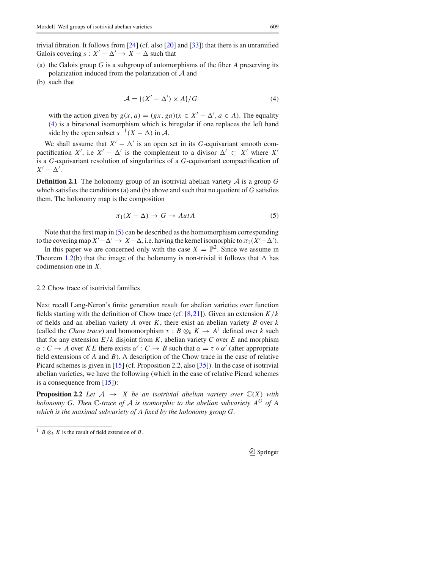trivial fibration. It follows from [24] (cf. also [20] and [33]) that there is an unramified Galois covering  $s: X' - \Delta' \rightarrow X - \Delta$  such that

- (a) the Galois group *G* is a subgroup of automorphisms of the fiber *A* preserving its polarization induced from the polarization of *A* and
- (b) such that

$$
\mathcal{A} = \{ (X' - \Delta') \times A \} / G \tag{4}
$$

with the action given by  $g(x, a) = (gx, ga)(x \in X' - \Delta', a \in A)$ . The equality (4) is a birational isomorphism which is biregular if one replaces the left hand side by the open subset  $s^{-1}(X - \Delta)$  in *A*.

We shall assume that  $X' - \Delta'$  is an open set in its *G*-equivariant smooth compactification *X'*, i.e  $X' - \Delta'$  is the complement to a divisor  $\Delta' \subset X'$  where *X'* is a *G*-equivariant resolution of singularities of a *G*-equivariant compactification of  $X' - \Delta'$ .

**Definition 2.1** The holonomy group of an isotrivial abelian variety  $A$  is a group  $G$ which satisfies the conditions (a) and (b) above and such that no quotient of *G* satisfies them. The holonomy map is the composition

$$
\pi_1(X - \Delta) \to G \to \text{Aut}A \tag{5}
$$

Note that the first map in (5) can be described as the homomorphism corresponding to the covering map  $X' - \Delta' \to X - \Delta$ , i.e. having the kernel isomorphic to  $\pi_1(X' - \Delta')$ .

In this paper we are concerned only with the case  $X = \mathbb{P}^2$ . Since we assume in Theorem 1.2(b) that the image of the holonomy is non-trivial it follows that  $\Delta$  has codimension one in *X*.

# 2.2 Chow trace of isotrivial families

Next recall Lang-Neron's finite generation result for abelian varieties over function fields starting with the definition of Chow trace (cf. [8,21]). Given an extension *K/k* of fields and an abelian variety *A* over *K*, there exist an abelian variety *B* over *k* (called the *Chow trace*) and homomorphism  $\tau : B \otimes_k K \to A^1$  defined over *k* such that for any extension  $E/k$  disjoint from  $K$ , abelian variety  $C$  over  $E$  and morphism  $\alpha: C \to A$  over *K E* there exists  $\alpha': C \to B$  such that  $\alpha = \tau \circ \alpha'$  (after appropriate field extensions of *A* and *B*). A description of the Chow trace in the case of relative Picard schemes is given in [15] (cf. Proposition 2.2, also [35]). In the case of isotrivial abelian varieties, we have the following (which in the case of relative Picard schemes is a consequence from [15]):

**Proposition 2.2** *Let*  $A \rightarrow X$  *be an isotrivial abelian variety over*  $\mathbb{C}(X)$  *with holonomy G. Then*  $\mathbb{C}$ -trace of  $\mathcal A$  *is isomorphic to the abelian subvariety*  $A^G$  *of*  $A$ *which is the maximal subvariety of A fixed by the holonomy group G.*

<sup>&</sup>lt;sup>1</sup> *B*  $\otimes_k$  *K* is the result of field extension of *B*.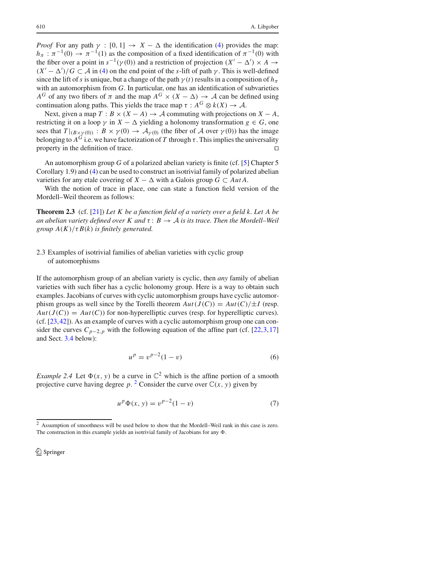*Proof* For any path  $\gamma : [0, 1] \rightarrow X - \Delta$  the identification (4) provides the map:  $h_\pi$ :  $\pi^{-1}(0) \to \pi^{-1}(1)$  as the composition of a fixed identification of  $\pi^{-1}(0)$  with the fiber over a point in  $s^{-1}(\gamma(0))$  and a restriction of projection  $(X' - \Delta') \times A \rightarrow$  $(X' - \Delta')/G \subset \mathcal{A}$  in (4) on the end point of the *s*-lift of path  $\gamma$ . This is well-defined since the lift of *s* is unique, but a change of the path  $\gamma(t)$  results in a composition of  $h_\pi$ with an automorphism from *G*. In particular, one has an identification of subvarieties *A<sup>G</sup>* of any two fibers of  $\pi$  and the map  $A^G \times (X - \Delta) \rightarrow A$  can be defined using continuation along paths. This yields the trace map  $\tau : A^G \otimes k(X) \to A$ .

Next, given a map  $T : B \times (X - A) \rightarrow A$  commuting with projections on  $X - A$ , restricting it on a loop  $\gamma$  in *X* −  $\Delta$  yielding a holonomy transformation *g* ∈ *G*, one sees that  $T|_{(B \times \gamma(0))}: B \times \gamma(0) \to A_{\gamma(0)}$  (the fiber of *A* over  $\gamma(0)$ ) has the image belonging to  $A^G$  i.e. we have factorization of *T* through  $\tau$ . This implies the universality property in the definition of trace.

An automorphism group *G* of a polarized abelian variety is finite (cf. [5] Chapter 5 Corollary 1.9) and (4) can be used to construct an isotrivial family of polarized abelian varieties for any etale covering of  $X - \Delta$  with a Galois group  $G \subset Aut A$ .

With the notion of trace in place, one can state a function field version of the Mordell–Weil theorem as follows:

**Theorem 2.3** (cf. [21]) *Let K be a function field of a variety over a field k. Let A be an abelian variety defined over K and*  $\tau: B \to A$  *is its trace. Then the Mordell–Weil group*  $A(K)/\tau B(k)$  *is finitely generated.* 

# 2.3 Examples of isotrivial families of abelian varieties with cyclic group of automorphisms

If the automorphism group of an abelian variety is cyclic, then *any* family of abelian varieties with such fiber has a cyclic holonomy group. Here is a way to obtain such examples. Jacobians of curves with cyclic automorphism groups have cyclic automorphism groups as well since by the Torelli theorem  $Aut(J(C)) = Aut(C)/\pm I$  (resp.  $Aut(J(C)) = Aut(C)$  for non-hyperelliptic curves (resp. for hyperelliptic curves). (cf. [23,42]). As an example of curves with a cyclic automorphism group one can consider the curves  $C_{p-2,p}$  with the following equation of the affine part (cf. [22,3,17] and Sect. 3.4 below):

$$
u^p = v^{p-2}(1-v)
$$
 (6)

*Example 2.4* Let  $\Phi(x, y)$  be a curve in  $\mathbb{C}^2$  which is the affine portion of a smooth projective curve having degree p. <sup>2</sup> Consider the curve over  $\mathbb{C}(x, y)$  given by

$$
u^p \Phi(x, y) = v^{p-2} (1 - v)
$$
 (7)

<sup>2</sup> Assumption of smoothness will be used below to show that the Mordell–Weil rank in this case is zero. The construction in this example yields an isotrivial family of Jacobians for any  $\Phi$ .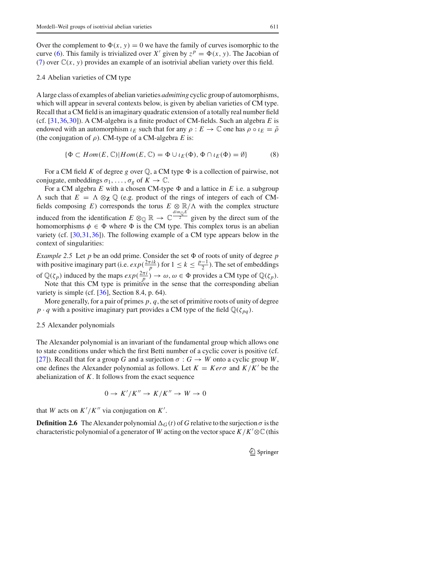Over the complement to  $\Phi(x, y) = 0$  we have the family of curves isomorphic to the curve (6). This family is trivialized over *X'* given by  $z^p = \Phi(x, y)$ . The Jacobian of (7) over  $\mathbb{C}(x, y)$  provides an example of an isotrivial abelian variety over this field.

#### 2.4 Abelian varieties of CM type

A large class of examples of abelian varieties *admitting* cyclic group of automorphisms, which will appear in several contexts below, is given by abelian varieties of CM type. Recall that a CM field is an imaginary quadratic extension of a totally real number field (cf. [31,36,30]). A CM-algebra is a finite product of CM-fields. Such an algebra *E* is endowed with an automorphism  $\iota_E$  such that for any  $\rho : E \to \mathbb{C}$  one has  $\rho \circ \iota_E = \overline{\rho}$ (the conjugation of  $\rho$ ). CM-type of a CM-algebra *E* is:

$$
\{\Phi \subset Hom(E, \mathbb{C}) | Hom(E, \mathbb{C}) = \Phi \cup \iota_E(\Phi), \Phi \cap \iota_E(\Phi) = \emptyset\}
$$
 (8)

For a CM field K of degree g over  $\mathbb{Q}$ , a CM type  $\Phi$  is a collection of pairwise, not conjugate, embeddings  $\sigma_1, \ldots, \sigma_g$  of  $K \to \mathbb{C}$ .

For a CM algebra  $E$  with a chosen CM-type  $\Phi$  and a lattice in  $E$  i.e. a subgroup  $\Lambda$  such that  $E = \Lambda \otimes_{\mathbb{Z}} \mathbb{Q}$  (e.g. product of the rings of integers of each of CMfields composing *E*) corresponds the torus  $E \otimes \mathbb{R}/\Lambda$  with the complex structure induced from the identification  $E \otimes_{\mathbb{Q}} \mathbb{R} \to \mathbb{C} \frac{dim_{\mathbb{Q}}E}{2}$  given by the direct sum of the homomorphisms  $\phi \in \Phi$  where  $\Phi$  is the CM type. This complex torus is an abelian variety (cf. [30,31,36]). The following example of a CM type appears below in the context of singularities:

*Example 2.5* Let *p* be an odd prime. Consider the set  $\Phi$  of roots of unity of degree *p* with positive imaginary part (i.e.  $exp(\frac{2\pi i k}{p})$  for  $1 \le k \le \frac{p-1}{2}$ ). The set of embeddings of  $\mathbb{Q}(\zeta_p)$  induced by the maps  $exp(\frac{2\pi i}{p}) \to \omega, \omega \in \Phi$  provides a CM type of  $\mathbb{Q}(\zeta_p)$ .

Note that this CM type is primitive in the sense that the corresponding abelian variety is simple (cf. [36], Section 8.4, p. 64).

More generally, for a pair of primes *p, q*, the set of primitive roots of unity of degree  $p \cdot q$  with a positive imaginary part provides a CM type of the field  $\mathbb{Q}(\zeta_{pq})$ .

#### 2.5 Alexander polynomials

The Alexander polynomial is an invariant of the fundamental group which allows one to state conditions under which the first Betti number of a cyclic cover is positive (cf. [27]). Recall that for a group *G* and a surjection  $\sigma : G \to W$  onto a cyclic group *W*, one defines the Alexander polynomial as follows. Let  $K = K e r \sigma$  and  $K/K'$  be the abelianization of *K*. It follows from the exact sequence

$$
0 \to K'/K'' \to K/K'' \to W \to 0
$$

that *W* acts on  $K'/K''$  via conjugation on  $K'$ .

**Definition 2.6** The Alexander polynomial  $\Delta_G(t)$  of *G* relative to the surjection  $\sigma$  is the characteristic polynomial of a generator of *W* acting on the vector space  $K/K' \otimes \mathbb{C}$  (this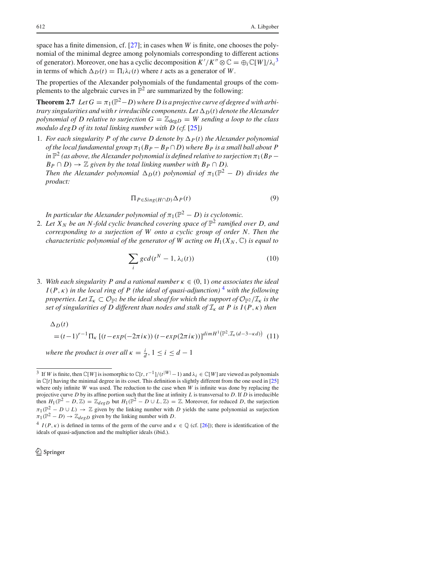space has a finite dimension, cf. [27]; in cases when *W* is finite, one chooses the polynomial of the minimal degree among polynomials corresponding to different actions of generator). Moreover, one has a cyclic decomposition  $K'/K'' \otimes \mathbb{C} = \bigoplus_i \mathbb{C}[W]/\lambda_i^3$ in terms of which  $\Delta_D(t) = \Pi_i \lambda_i(t)$  where *t* acts as a generator of *W*.

The properties of the Alexander polynomials of the fundamental groups of the complements to the algebraic curves in  $\mathbb{P}^2$  are summarized by the following:

**Theorem 2.7** *Let*  $G = \pi_1(\mathbb{P}^2 - D)$  *where D is a projective curve of degree d with arbitrary singularities and with r irreducible components. Let*  $\Delta_D(t)$  *denote the Alexander polynomial of D relative to surjection*  $G = \mathbb{Z}_{\text{deg}D} = W$  *sending a loop to the class modulo degD of its total linking number with D (cf.* [25]*)*

1. *For each singularity P of the curve D denote by*  $\Delta_P(t)$  *the Alexander polynomial of the local fundamental group*  $\pi_1(B_P - B_P \cap D)$  *where*  $B_P$  *is a small ball about* P *in*  $\mathbb{P}^2$  *(as above, the Alexander polynomial is defined relative to surjection*  $\pi_1(B_P B_P \cap D$   $\rightarrow \mathbb{Z}$  *given by the total linking number with*  $B_P \cap D$ *). Then the Alexander polynomial*  $\Delta_D(t)$  *polynomial of*  $\pi_1(\mathbb{P}^2 - D)$  *divides the product:*

$$
\Pi_{P \in Sing(H \cap D)} \Delta_P(t) \tag{9}
$$

*In particular the Alexander polynomial of*  $\pi_1(\mathbb{P}^2 - D)$  *is cyclotomic.* 

2. Let  $X_N$  be an N-fold cyclic branched covering space of  $\mathbb{P}^2$  ramified over D, and *corresponding to a surjection of W onto a cyclic group of order N. Then the characteristic polynomial of the generator of W acting on*  $H_1(X_N, \mathbb{C})$  *is equal to* 

$$
\sum_{i} gcd(t^N - 1, \lambda_i(t))
$$
\n(10)

3. With each singularity P and a rational number  $\kappa \in (0, 1)$  one associates the ideal  $I(P, \kappa)$  *in the local ring of P (the ideal of quasi-adjunction)*<sup>4</sup> *with the following properties. Let*  $\mathcal{I}_k \subset \mathcal{O}_{\mathbb{P}^2}$  *be the ideal sheaf for which the support of*  $\mathcal{O}_{\mathbb{P}^2}/\mathcal{I}_k$  *is the set of singularities of D different than nodes and stalk of*  $I_k$  *at P is I*( $P$ *,*  $\kappa$ *) then* 

 $\Delta_D(t)$ 

$$
= (t-1)^{r-1} \Pi_{\kappa} \left[ (t - exp(-2\pi i\kappa)) (t - exp(2\pi i\kappa)) \right]^{dim H^{1}(\mathbb{P}^{2}, \mathcal{I}_{\kappa}(d-3-\kappa d))} (11)
$$

*where the product is over all*  $\kappa = \frac{i}{d}$ ,  $1 \le i \le d - 1$ 

<sup>&</sup>lt;sup>3</sup> If *W* is finite, then  $\mathbb{C}[W]$  is isomorphic to  $\mathbb{C}[t, t^{-1}]/(t^{|W|} - 1)$  and  $\lambda_i \in \mathbb{C}[W]$  are viewed as polynomials in  $\mathbb{C}[t]$  having the minimal degree in its coset. This definition is slightly different from the one used in [25] where only infinite *W* was used. The reduction to the case when *W* is infinite was done by replacing the projective curve *D* by its affine portion such that the line at infinity *L* is transversal to *D*. If *D* is irreducible then  $H_1(\mathbb{P}^2 - D, \mathbb{Z}) = \mathbb{Z}_{deg D}$  but  $H_1(\mathbb{P}^2 - D \cup L, \mathbb{Z}) = \mathbb{Z}$ . Moreover, for reduced *D*, the surjection  $\pi_1(\mathbb{P}^2_2 - D \cup L) \to \mathbb{Z}$  given by the linking number with *D* yields the same polynomial as surjection  $\pi_1(\mathbb{P}^2 - D) \to \mathbb{Z}_{deg D}$  given by the linking number with *D*.

<sup>&</sup>lt;sup>4</sup> *I*(*P*, *k*) is defined in terms of the germ of the curve and  $\kappa \in \mathbb{Q}$  (cf. [26]); there is identification of the ideals of quasi-adjunction and the multiplier ideals (ibid.).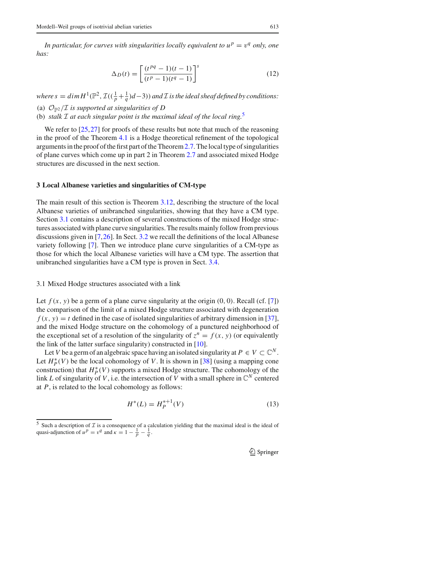*In particular, for curves with singularities locally equivalent to*  $u^p = v^q$  *only, one has:*

$$
\Delta_D(t) = \left[ \frac{(t^{pq} - 1)(t - 1)}{(t^p - 1)(t^q - 1)} \right]^s
$$
\n(12)

*where s* =  $dim H^{1}(\mathbb{P}^{2}, \mathcal{I}((\frac{1}{p} + \frac{1}{q})d - 3))$  *and*  $\mathcal{I}$  *is the ideal sheaf defined by conditions:* 

- (a)  $\mathcal{O}_{\mathbb{P}^2}/\mathcal{I}$  *is supported at singularities of D*
- (b) *stalk <sup>I</sup> at each singular point is the maximal ideal of the local ring.*<sup>5</sup>

We refer to [25,27] for proofs of these results but note that much of the reasoning in the proof of the Theorem 4.1 is a Hodge theoretical refinement of the topological arguments in the proof of the first part of the Theorem2.7. The local type of singularities of plane curves which come up in part 2 in Theorem 2.7 and associated mixed Hodge structures are discussed in the next section.

#### **3 Local Albanese varieties and singularities of CM-type**

The main result of this section is Theorem 3.12, describing the structure of the local Albanese varieties of unibranched singularities, showing that they have a CM type. Section 3.1 contains a description of several constructions of the mixed Hodge structures associated with plane curve singularities. The results mainly follow from previous discussions given in [7,26]. In Sect. 3.2 we recall the definitions of the local Albanese variety following [7]. Then we introduce plane curve singularities of a CM-type as those for which the local Albanese varieties will have a CM type. The assertion that unibranched singularities have a CM type is proven in Sect. 3.4.

#### 3.1 Mixed Hodge structures associated with a link

Let  $f(x, y)$  be a germ of a plane curve singularity at the origin  $(0, 0)$ . Recall (cf. [7]) the comparison of the limit of a mixed Hodge structure associated with degeneration  $f(x, y) = t$  defined in the case of isolated singularities of arbitrary dimension in [37], and the mixed Hodge structure on the cohomology of a punctured neighborhood of the exceptional set of a resolution of the singularity of  $z^n = f(x, y)$  (or equivalently the link of the latter surface singularity) constructed in [10].

Let *V* be a germ of an algebraic space having an isolated singularity at  $P \in V \subset \mathbb{C}^N$ . Let  $H_P^*(V)$  be the local cohomology of *V*. It is shown in [38] (using a mapping cone construction) that  $H_P^*(V)$  supports a mixed Hodge structure. The cohomology of the link *L* of singularity of *V*, i.e. the intersection of *V* with a small sphere in  $\mathbb{C}^N$  centered at *P*, is related to the local cohomology as follows:

$$
H^*(L) = H_P^{*+1}(V)
$$
\n(13)

<sup>&</sup>lt;sup>5</sup> Such a description of  $I$  is a consequence of a calculation yielding that the maximal ideal is the ideal of quasi-adjunction of  $u^p = v^q$  and  $\kappa = 1 - \frac{1}{p} - \frac{1}{q}$ .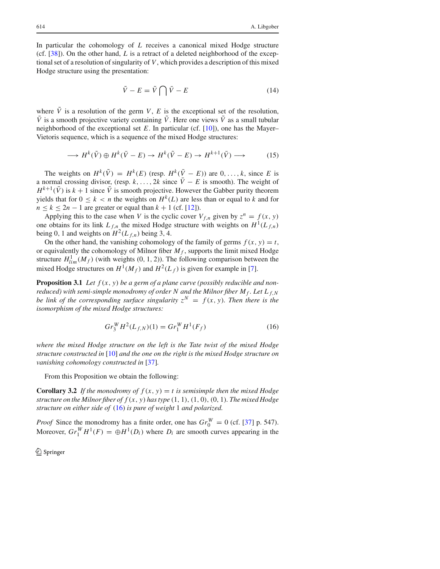In particular the cohomology of *L* receives a canonical mixed Hodge structure (cf. [38]). On the other hand, *L* is a retract of a deleted neighborhood of the exceptional set of a resolution of singularity of *V*, which provides a description of this mixed Hodge structure using the presentation:

$$
\tilde{V} - E = \tilde{V} \bigcap \bar{V} - E \tag{14}
$$

where  $\tilde{V}$  is a resolution of the germ *V*, *E* is the exceptional set of the resolution,  $\bar{V}$  is a smooth projective variety containing  $\tilde{V}$ . Here one views  $\tilde{V}$  as a small tubular neighborhood of the exceptional set  $E$ . In particular (cf. [10]), one has the Mayer– Vietoris sequence, which is a sequence of the mixed Hodge structures:

$$
\longrightarrow H^k(\tilde{V}) \oplus H^k(\bar{V} - E) \longrightarrow H^k(\tilde{V} - E) \longrightarrow H^{k+1}(\bar{V}) \longrightarrow \tag{15}
$$

The weights on  $H^k(\tilde{V}) = H^k(E)$  (resp.  $H^k(\bar{V} - E)$ ) are  $0, \ldots, k$ , since *E* is a normal crossing divisor, (resp.  $k, \ldots, 2k$  since  $\overline{V}$  − *E* is smooth). The weight of  $H^{k+1}(\bar{V})$  is  $k+1$  since  $\bar{V}$  is smooth projective. However the Gabber purity theorem yields that for  $0 \leq k < n$  the weights on  $H^k(L)$  are less than or equal to *k* and for  $n \leq k \leq 2n - 1$  are greater or equal than  $k + 1$  (cf. [12]).

Applying this to the case when *V* is the cyclic cover  $V_{f,n}$  given by  $z^n = f(x, y)$ one obtains for its link  $L_{f,n}$  the mixed Hodge structure with weights on  $H^1(L_{f,n})$ being 0, 1 and weights on  $H^2(L_{f,n})$  being 3, 4.

On the other hand, the vanishing cohomology of the family of germs  $f(x, y) = t$ , or equivalently the cohomology of Milnor fiber  $M_f$ , supports the limit mixed Hodge structure  $H_{lim}^1(M_f)$  (with weights (0, 1, 2)). The following comparison between the mixed Hodge structures on  $H^1(M_f)$  and  $H^2(L_f)$  is given for example in [7].

**Proposition 3.1** *Let*  $f(x, y)$  *be a germ of a plane curve (possibly reducible and nonreduced)* with semi-simple monodromy of order N and the Milnor fiber  $M_f$ . Let  $L_{f,N}$ *be link of the corresponding surface singularity*  $z^N = f(x, y)$ *. Then there is the isomorphism of the mixed Hodge structures:*

$$
Gr_3^W H^2(L_{f,N})(1) = Gr_1^W H^1(F_f)
$$
\n(16)

*where the mixed Hodge structure on the left is the Tate twist of the mixed Hodge structure constructed in* [10] *and the one on the right is the mixed Hodge structure on vanishing cohomology constructed in* [37]*.*

From this Proposition we obtain the following:

**Corollary 3.2** If the monodromy of  $f(x, y) = t$  is semisimple then the mixed Hodge *structure on the Milnor fiber of*  $f(x, y)$  *has type*  $(1, 1), (1, 0), (0, 1)$ *. The mixed Hodge structure on either side of* (16) *is pure of weight* 1 *and polarized.*

*Proof* Since the monodromy has a finite order, one has  $Gr_{0}^{W} = 0$  (cf. [37] p. 547). Moreover,  $Gr_1^W H^1(F) = \bigoplus H^1(D_i)$  where  $D_i$  are smooth curves appearing in the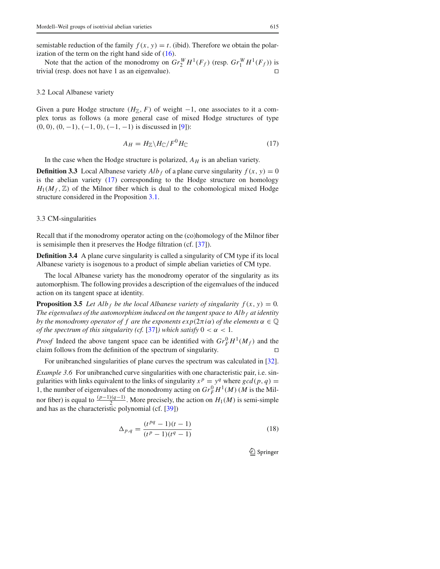semistable reduction of the family  $f(x, y) = t$ . (ibid). Therefore we obtain the polarization of the term on the right hand side of  $(16)$ .

Note that the action of the monodromy on  $Gr_2^W H^1(F_f)$  (resp.  $Gr_1^W H^1(F_f)$ ) is trivial (resp. does not have 1 as an eigenvalue).

#### 3.2 Local Albanese variety

Given a pure Hodge structure  $(H_{\mathbb{Z}}, F)$  of weight  $-1$ , one associates to it a complex torus as follows (a more general case of mixed Hodge structures of type *(*0*,* 0*), (*0*,* −1*), (*−1*,* 0*), (*−1*,* −1*)* is discussed in [9]):

$$
A_H = H_{\mathbb{Z}} \backslash H_{\mathbb{C}} / F^0 H_{\mathbb{C}} \tag{17}
$$

In the case when the Hodge structure is polarized,  $A_H$  is an abelian variety.

**Definition 3.3** Local Albanese variety  $Alb_f$  of a plane curve singularity  $f(x, y) = 0$ is the abelian variety (17) corresponding to the Hodge structure on homology  $H_1(M_f, \mathbb{Z})$  of the Milnor fiber which is dual to the cohomological mixed Hodge structure considered in the Proposition 3.1.

#### 3.3 CM-singularities

Recall that if the monodromy operator acting on the (co)homology of the Milnor fiber is semisimple then it preserves the Hodge filtration (cf. [37]).

**Definition 3.4** A plane curve singularity is called a singularity of CM type if its local Albanese variety is isogenous to a product of simple abelian varieties of CM type.

The local Albanese variety has the monodromy operator of the singularity as its automorphism. The following provides a description of the eigenvalues of the induced action on its tangent space at identity.

**Proposition 3.5** *Let Alb*  $_f$  *be the local Albanese variety of singularity*  $f(x, y) = 0$ *. The eigenvalues of the automorphism induced on the tangent space to Alb <sup>f</sup> at identity by the monodromy operator of f are the exponents*  $exp(2\pi i \alpha)$  *of the elements*  $\alpha \in \mathbb{Q}$ *of the spectrum of this singularity (cf.* [37]*)* which satisfy  $0 < \alpha < 1$ .

*Proof* Indeed the above tangent space can be identified with  $Gr_F^0 H^1(M_f)$  and the claim follows from the definition of the spectrum of singularity. ⊓,

For unibranched singularities of plane curves the spectrum was calculated in [32].

*Example 3.6* For unibranched curve singularities with one characteristic pair, i.e. singularities with links equivalent to the links of singularity  $x^p = y^q$  where  $gcd(p, q)$ 1, the number of eigenvalues of the monodromy acting on  $Gr_F^0 H^1(M)$  (*M* is the Milnor fiber) is equal to  $\frac{(p-1)(q-1)}{2}$ . More precisely, the action on  $H_1(M)$  is semi-simple and has as the characteristic polynomial (cf. [39])

$$
\Delta_{p,q} = \frac{(t^{pq} - 1)(t - 1)}{(t^p - 1)(t^q - 1)}
$$
\n(18)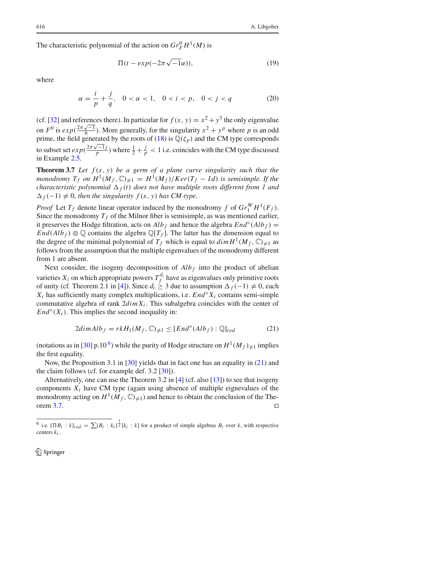The characteristic polynomial of the action on  $Gr_F^0 H^1(M)$  is

$$
\Pi(t - exp(-2\pi\sqrt{-1}\alpha)),\tag{19}
$$

where

$$
\alpha = \frac{i}{p} + \frac{j}{q}, \quad 0 < \alpha < 1, \quad 0 < i < p, \quad 0 < j < q \tag{20}
$$

(cf. [32] and references there). In particular for  $f(x, y) = x^2 + y^3$  the only eigenvalue on  $F^0$  is  $exp(\frac{2\pi\sqrt{-1}}{6})$ . More generally, for the singularity  $x^2 + y^p$  where p is an odd prime, the field generated by the roots of (18) is  $\mathbb{Q}(\zeta_p)$  and the CM type corresponds to subset set  $exp(\frac{2\pi\sqrt{-1}j}{p})$  where  $\frac{1}{2} + \frac{j}{p} < 1$  i.e. coincides with the CM type discussed in Example 2.5.

**Theorem 3.7** *Let*  $f(x, y)$  *be a germ of a plane curve singularity such that the monodromy*  $T_f$  *on*  $H^1(M_f, \mathbb{C})_{\neq 1} = H^1(M_f)/Ker(T_f - Id)$  *is semisimple. If the characteristic polynomial*  $\Delta_f(t)$  *does not have multiple roots different from 1 and*  $\Delta_f(-1) \neq 0$ , then the singularity  $f(x, y)$  has CM-type.

*Proof* Let  $T_f$  denote linear operator induced by the monodromy *f* of  $Gr_{1}^{W}H^{1}(F_f)$ . Since the monodromy  $T_f$  of the Milnor fiber is semisimple, as was mentioned earlier, it preserves the Hodge filtration, acts on  $Alb_f$  and hence the algebra  $End^\circ(Alb_f)$  =  $End(Alb<sub>f</sub>) \otimes \mathbb{Q}$  contains the algebra  $\mathbb{Q}[T_f]$ . The latter has the dimension equal to the degree of the minimal polynomial of  $T_f$  which is equal to  $dim H<sup>1</sup>(M_f, \mathbb{C})_{\neq 1}$  as follows from the assumption that the multiple eigenvalues of the monodromy different from 1 are absent.

Next consider, the isogeny decomposition of  $Alb_f$  into the product of abelian varieties  $X_i$  on which appropriate powers  $T_f^{d_i}$  have as eigenvalues only primitive roots of unity (cf. Theorem 2.1 in [4]). Since  $d_i \geq 3$  due to assumption  $\Delta_f(-1) \neq 0$ , each  $X_i$  has sufficiently many complex multiplications, i.e.  $End^\circ X_i$  contains semi-simple commutative algebra of rank  $2dim X_i$ . This subalgebra coincides with the center of  $End<sup>°</sup>(X<sub>i</sub>)$ . This implies the second inequality in:

$$
2\dim Alb_f = rkH_1(M_f, \mathbb{C})_{\neq 1} \le [End^{\circ}(Alb_f) : \mathbb{Q}]_{red}
$$
 (21)

(notations as in [30] p.10<sup>6</sup>) while the purity of Hodge structure on  $H^1(M_f)_{\neq 1}$  implies the first equality.

Now, the Proposition 3.1 in [30] yields that in fact one has an equality in (21) and the claim follows (cf. for example def. 3.2 [30]).

Alternatively, one can use the Theorem 3.2 in [4] (cf. also [13]) to see that isogeny components  $X_i$  have CM type (again using absence of multiple eignevalues of the monodromy acting on  $H^1(M_f, \mathbb{C})_{\neq 1}$ ) and hence to obtain the conclusion of the Theorem 3.7. orem 3.7.  $□$ 

<sup>&</sup>lt;sup>6</sup> i.e.  $[\Pi B_i : k]_{red} = \sum [B_i : k_i]^{\frac{1}{2}} [k_i : k]$  for a product of simple algebras  $B_i$  over *k*, with respective centers *ki* .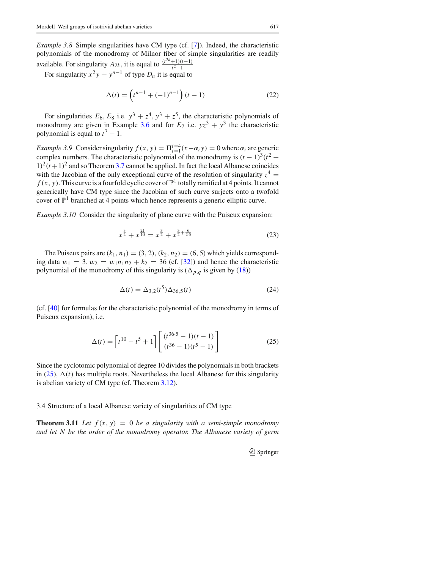*Example 3.8* Simple singularities have CM type (cf. [7]). Indeed, the characteristic polynomials of the monodromy of Milnor fiber of simple singularities are readily available. For singularity  $A_{2k}$ , it is equal to  $\frac{(t^{2k}+1)(t-1)}{t^2-1}$ <br>For singularity  $x^2y + y^{n-1}$  of type  $D_n$  it is equal to

$$
\Delta(t) = \left(t^{n-1} + (-1)^{n-1}\right)(t-1) \tag{22}
$$

For singularities  $E_6$ ,  $E_8$  i.e.  $y^3 + z^4$ ,  $y^3 + z^5$ , the characteristic polynomials of monodromy are given in Example 3.6 and for  $E_7$  i.e.  $yz^3 + y^3$  the characteristic polynomial is equal to  $t^7 - 1$ .

*Example 3.9* Consider singularity  $f(x, y) = \prod_{i=1}^{i=4} (x - \alpha_i y) = 0$  where  $\alpha_i$  are generic complex numbers. The characteristic polynomial of the monodromy is  $(t - 1)^3(t^2 +$  $1)^{2}(t+1)^{2}$  and so Theorem 3.7 cannot be applied. In fact the local Albanese coincides with the Jacobian of the only exceptional curve of the resolution of singularity  $z^4$  =  $f(x, y)$ . This curve is a fourfold cyclic cover of  $\mathbb{P}^1$  totally ramified at 4 points. It cannot generically have CM type since the Jacobian of such curve surjects onto a twofold cover of  $\mathbb{P}^1$  branched at 4 points which hence represents a generic elliptic curve.

*Example 3.10* Consider the singularity of plane curve with the Puiseux expansion:

$$
x^{\frac{3}{2}} + x^{\frac{21}{10}} = x^{\frac{3}{2}} + x^{\frac{3}{2} + \frac{6}{2 \cdot 5}}\tag{23}
$$

The Puiseux pairs are  $(k_1, n_1) = (3, 2)$ ,  $(k_2, n_2) = (6, 5)$  which yields corresponding data  $w_1 = 3$ ,  $w_2 = w_1 n_1 n_2 + k_2 = 36$  (cf. [32]) and hence the characteristic polynomial of the monodromy of this singularity is  $(\Delta_{p,q}$  is given by (18))

$$
\Delta(t) = \Delta_{3,2}(t^5) \Delta_{36,5}(t) \tag{24}
$$

(cf. [40] for formulas for the characteristic polynomial of the monodromy in terms of Puiseux expansion), i.e.

$$
\Delta(t) = \left[ t^{10} - t^5 + 1 \right] \left[ \frac{(t^{36 \cdot 5} - 1)(t - 1)}{(t^{36} - 1)(t^5 - 1)} \right]
$$
(25)

Since the cyclotomic polynomial of degree 10 divides the polynomials in both brackets in (25),  $\Delta(t)$  has multiple roots. Nevertheless the local Albanese for this singularity is abelian variety of CM type (cf. Theorem 3.12).

3.4 Structure of a local Albanese variety of singularities of CM type

**Theorem 3.11** *Let*  $f(x, y) = 0$  *be a singularity with a semi-simple monodromy and let N be the order of the monodromy operator. The Albanese variety of germ*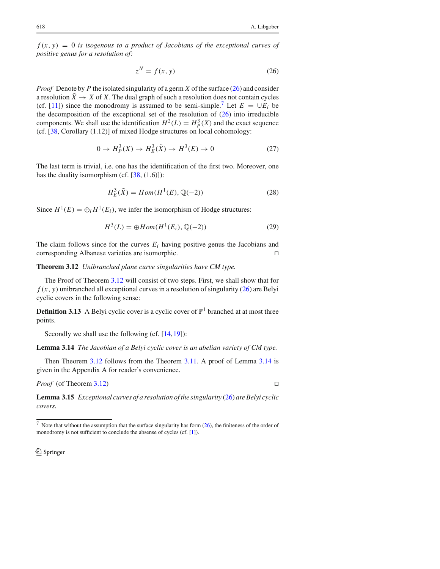$f(x, y) = 0$  *is isogenous to a product of Jacobians of the exceptional curves of positive genus for a resolution of:*

$$
z^N = f(x, y) \tag{26}
$$

*Proof* Denote by *P* the isolated singularity of a germ *X* of the surface (26) and consider a resolution  $\tilde{X} \to X$  of X. The dual graph of such a resolution does not contain cycles (cf. [11]) since the monodromy is assumed to be semi-simple.<sup>7</sup> Let  $E = \bigcup E_i$  be the decomposition of the exceptional set of the resolution of  $(26)$  into irreducible components. We shall use the identification  $H^2(L) = H^3_P(X)$  and the exact sequence (cf. [38, Corollary (1.12)] of mixed Hodge structures on local cohomology:

$$
0 \to H_P^3(X) \to H_E^3(\tilde{X}) \to H^3(E) \to 0
$$
 (27)

The last term is trivial, i.e. one has the identification of the first two. Moreover, one has the duality isomorphism (cf.  $[38, (1.6)]$ ):

$$
H_E^3(\tilde{X}) = Hom(H^1(E), \mathbb{Q}(-2))
$$
\n(28)

Since  $H^1(E) = \bigoplus_i H^1(E_i)$ , we infer the isomorphism of Hodge structures:

$$
H^{3}(L) = \bigoplus Hom(H^{1}(E_{i}), \mathbb{Q}(-2))
$$
 (29)

The claim follows since for the curves  $E_i$  having positive genus the Jacobians and corresponding Albanese varieties are isomorphic. ⊓,

**Theorem 3.12** *Unibranched plane curve singularities have CM type.*

The Proof of Theorem 3.12 will consist of two steps. First, we shall show that for  $f(x, y)$  unibranched all exceptional curves in a resolution of singularity (26) are Belyi cyclic covers in the following sense:

**Definition 3.13** A Belyi cyclic cover is a cyclic cover of  $\mathbb{P}^1$  branched at at most three points.

Secondly we shall use the following (cf.  $[14,19]$ ):

**Lemma 3.14** *The Jacobian of a Belyi cyclic cover is an abelian variety of CM type.*

Then Theorem 3.12 follows from the Theorem 3.11. A proof of Lemma 3.14 is given in the Appendix A for reader's convenience.

*Proof* (of Theorem 3.12) ⊓,

**Lemma 3.15** *Exceptional curves of a resolution of the singularity* (26) *are Belyi cyclic covers.*

<sup>7</sup> Note that without the assumption that the surface singularity has form (26), the finiteness of the order of monodromy is not sufficient to conclude the absense of cycles (cf. [1]).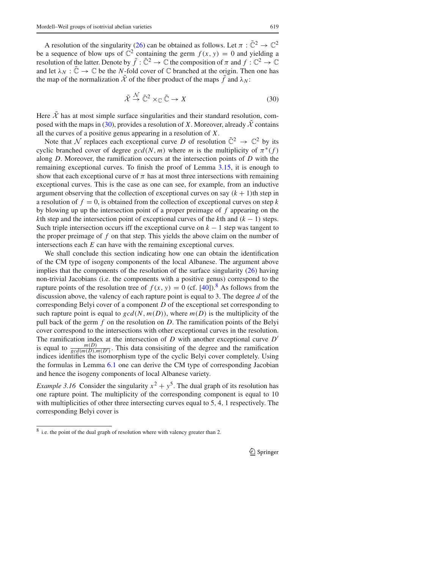A resolution of the singularity (26) can be obtained as follows. Let  $\pi : \tilde{\mathbb{C}}^2 \to \mathbb{C}^2$ be a sequence of blow ups of  $\mathbb{C}^2$  containing the germ  $f(x, y) = 0$  and yielding a resolution of the latter. Denote by  $\tilde{f}: \tilde{\mathbb C}^2 \to \mathbb C$  the composition of  $\pi$  and  $f: \mathbb C^2 \to \mathbb C$ and let  $\lambda_N : \mathbb{C} \to \mathbb{C}$  be the *N*-fold cover of  $\mathbb C$  branched at the origin. Then one has the map of the normalization  $\mathcal X$  of the fiber product of the maps  $\hat f$  and  $\lambda_N$ :

$$
\tilde{\mathcal{X}} \stackrel{\mathcal{N}}{\rightarrow} \tilde{\mathbb{C}}^2 \times_{\mathbb{C}} \tilde{\mathbb{C}} \rightarrow X \tag{30}
$$

Here  $\tilde{\mathcal{X}}$  has at most simple surface singularities and their standard resolution, composed with the maps in (30), provides a resolution of *X*. Moreover, already  $\tilde{\mathcal{X}}$  contains all the curves of a positive genus appearing in a resolution of *X*.

Note that *N* replaces each exceptional curve *D* of resolution  $\tilde{\mathbb{C}}^2 \to \mathbb{C}^2$  by its cyclic branched cover of degree  $gcd(N, m)$  where *m* is the multiplicity of  $\pi^*(f)$ along *D*. Moreover, the ramification occurs at the intersection points of *D* with the remaining exceptional curves. To finish the proof of Lemma 3.15, it is enough to show that each exceptional curve of  $\pi$  has at most three intersections with remaining exceptional curves. This is the case as one can see, for example, from an inductive argument observing that the collection of exceptional curves on say  $(k + 1)$ th step in a resolution of  $f = 0$ , is obtained from the collection of exceptional curves on step  $k$ by blowing up up the intersection point of a proper preimage of *f* appearing on the *k*th step and the intersection point of exceptional curves of the *k*th and  $(k - 1)$  steps. Such triple intersection occurs iff the exceptional curve on  $k - 1$  step was tangent to the proper preimage of *f* on that step. This yields the above claim on the number of intersections each *E* can have with the remaining exceptional curves.

We shall conclude this section indicating how one can obtain the identification of the CM type of isogeny components of the local Albanese. The argument above implies that the components of the resolution of the surface singularity  $(26)$  having non-trivial Jacobians (i.e. the components with a positive genus) correspond to the rapture points of the resolution tree of  $f(x, y) = 0$  (cf. [40]).<sup>8</sup> As follows from the discussion above, the valency of each rapture point is equal to 3. The degree *d* of the corresponding Belyi cover of a component *D* of the exceptional set corresponding to such rapture point is equal to  $gcd(N, m(D))$ , where  $m(D)$  is the multiplicity of the pull back of the germ *f* on the resolution on *D*. The ramification points of the Belyi cover correspond to the intersections with other exceptional curves in the resolution. The ramification index at the intersection of *D* with another exceptional curve *D*′ is equal to  $\frac{m(D)}{gcd(m(D), m(D')})$ . This data consisiting of the degree and the ramification indices identifies the isomorphism type of the cyclic Belyi cover completely. Using the formulas in Lemma 6.1 one can derive the CM type of corresponding Jacobian and hence the isogeny components of local Albanese variety.

*Example 3.16* Consider the singularity  $x^2 + y^5$ . The dual graph of its resolution has one rapture point. The multiplicity of the corresponding component is equal to 10 with multiplicities of other three intersecting curves equal to 5*,* 4*,* 1 respectively. The corresponding Belyi cover is

<sup>8</sup> i.e. the point of the dual graph of resolution where with valency greater than 2.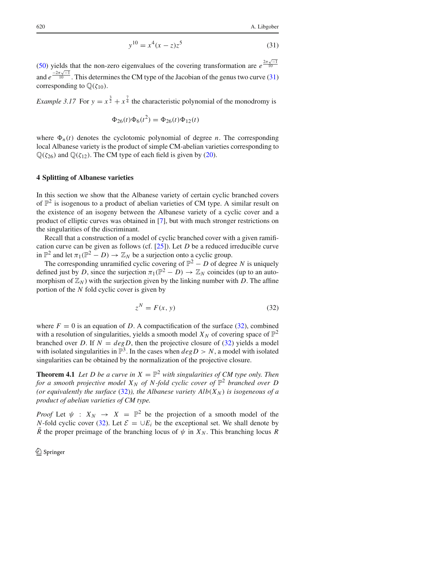$$
y^{10} = x^4(x - z)z^5
$$
 (31)

(50) yields that the non-zero eigenvalues of the covering transformation are  $e^{\frac{2\pi\sqrt{-1}}{10}}$ and  $e^{\frac{-2\pi\sqrt{-1}}{10}}$ . This determines the CM type of the Jacobian of the genus two curve (31) corresponding to  $\mathbb{O}(\zeta_{10})$ .

*Example 3.17* For  $y = x^{\frac{3}{2}} + x^{\frac{7}{4}}$  the characteristic polynomial of the monodromy is

$$
\Phi_{26}(t)\Phi_6(t^2) = \Phi_{26}(t)\Phi_{12}(t)
$$

where  $\Phi_n(t)$  denotes the cyclotomic polynomial of degree *n*. The corresponding local Albanese variety is the product of simple CM-abelian varieties corresponding to  $\mathbb{Q}(\zeta_{26})$  and  $\mathbb{Q}(\zeta_{12})$ . The CM type of each field is given by (20).

#### **4 Splitting of Albanese varieties**

In this section we show that the Albanese variety of certain cyclic branched covers of  $\mathbb{P}^2$  is isogenous to a product of abelian varieties of CM type. A similar result on the existence of an isogeny between the Albanese variety of a cyclic cover and a product of elliptic curves was obtained in [7], but with much stronger restrictions on the singularities of the discriminant.

Recall that a construction of a model of cyclic branched cover with a given ramification curve can be given as follows (cf. [25]). Let *D* be a reduced irreducible curve in  $\mathbb{P}^2$  and let  $\pi_1(\mathbb{P}^2 - D) \to \mathbb{Z}_N$  be a surjection onto a cyclic group.

The corresponding unramified cyclic covering of  $\mathbb{P}^2 - D$  of degree *N* is uniquely defined just by *D*, since the surjection  $\pi_1(\mathbb{P}^2 - D) \to \mathbb{Z}_N$  coincides (up to an automorphism of  $\mathbb{Z}_N$ ) with the surjection given by the linking number with *D*. The affine portion of the *N* fold cyclic cover is given by

$$
z^N = F(x, y) \tag{32}
$$

where  $F = 0$  is an equation of *D*. A compactification of the surface (32), combined with a resolution of singularities, yields a smooth model  $X_N$  of covering space of  $\mathbb{P}^2$ branched over *D*. If  $N = degD$ , then the projective closure of (32) yields a model with isolated singularities in  $\mathbb{P}^3$ . In the cases when  $deg D > N$ , a model with isolated singularities can be obtained by the normalization of the projective closure.

**Theorem 4.1** Let D be a curve in  $X = \mathbb{P}^2$  with singularities of CM type only. Then *for a smooth projective model*  $X_N$  *of* N-fold cyclic cover of  $\mathbb{P}^2$  branched over D *(or equivalently the surface (32)), the Albanese variety*  $Alb(X_N)$  *is isogeneous of a product of abelian varieties of CM type.*

*Proof* Let  $\psi$  :  $X_N \rightarrow X = \mathbb{P}^2$  be the projection of a smooth model of the *N*-fold cyclic cover (32). Let  $\mathcal{E} = \bigcup E_i$  be the exceptional set. We shall denote by  $\overline{R}$  the proper preimage of the branching locus of  $\psi$  in  $X_N$ . This branching locus  $R$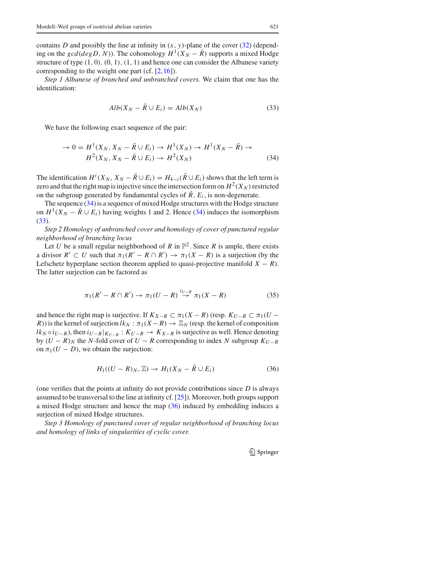contains *D* and possibly the line at infinity in  $(x, y)$ -plane of the cover (32) (depending on the  $gcd(degD, N)$ ). The cohomology  $H<sup>1</sup>(X<sub>N</sub> - R)$  supports a mixed Hodge structure of type *(*1*,* 0*), (*0*,* 1*), (*1*,* 1*)* and hence one can consider the Albanese variety corresponding to the weight one part (cf. [2,16]).

*Step 1 Albanese of branched and unbranched covers.* We claim that one has the identification:

$$
Alb(X_N - \bar{R} \cup E_i) = Alb(X_N)
$$
\n(33)

We have the following exact sequence of the pair:

$$
\rightarrow 0 = H^1(X_N, X_N - \bar{R} \cup E_i) \rightarrow H^1(X_N) \rightarrow H^1(X_N - \bar{R}) \rightarrow H^2(X_N, X_N - \bar{R} \cup E_i) \rightarrow H^2(X_N)
$$
\n(34)

The identification  $H^i(X_N, X_N - \overline{R} \cup E_i) = H_{4-i}(\overline{R} \cup E_i)$  shows that the left term is zero and that the right map is injective since the intersection form on  $H^2(X_N)$  restricted on the subgroup generated by fundamental cycles of  $\overline{R}$ ,  $E_i$ , is non-degenerate.

The sequence (34) is a sequence of mixed Hodge structures with the Hodge structure on  $H^1(X_N - \overline{R} \cup E_i)$  having weights 1 and 2. Hence (34) induces the isomorphism (33).

*Step 2 Homology of unbranched cover and homology of cover of punctured regular neighborhood of branching locus*

Let *U* be a small regular neighborhood of *R* in  $\mathbb{P}^2$ . Since *R* is ample, there exists a divisor  $R' \subset U$  such that  $\pi_1(R' - R \cap R') \to \pi_1(X - R)$  is a surjection (by the Lefschetz hyperplane section theorem applied to quasi-projective manifold  $X - R$ ). The latter surjection can be factored as

$$
\pi_1(R'-R\cap R')\to\pi_1(U-R)\stackrel{i_{U-R}}{\to}\pi_1(X-R)
$$
\n(35)

and hence the right map is surjective. If  $K_{X-R} \subset \pi_1(X-R)$  (resp.  $K_{U-R} \subset \pi_1(U - R)$ ) *R*)) is the kernel of surjection  $lk_N : \pi_1(X - R) \to \mathbb{Z}_N$  (resp. the kernel of composition  $lk_N \circ i_{U-R}$ , then  $i_{U-R}|_{K_{U-R}} : K_{U-R} \to K_{X-R}$  is surjective as well. Hence denoting by  $(U - R)_N$  the *N*-fold cover of  $U - R$  corresponding to index *N* subgroup  $K_{U-R}$ on  $\pi_1(U - D)$ , we obtain the surjection:

$$
H_1((U - R)_N, \mathbb{Z}) \to H_1(X_N - \bar{R} \cup E_i)
$$
\n(36)

(one verifies that the points at infinity do not provide contributions since *D* is always assumed to be transversal to the line at infinity cf. [25]). Moreover, both groups support a mixed Hodge structure and hence the map (36) induced by embedding induces a surjection of mixed Hodge structures.

*Step 3 Homology of punctured cover of regular neighborhood of branching locus and homology of links of singularities of cyclic cover.*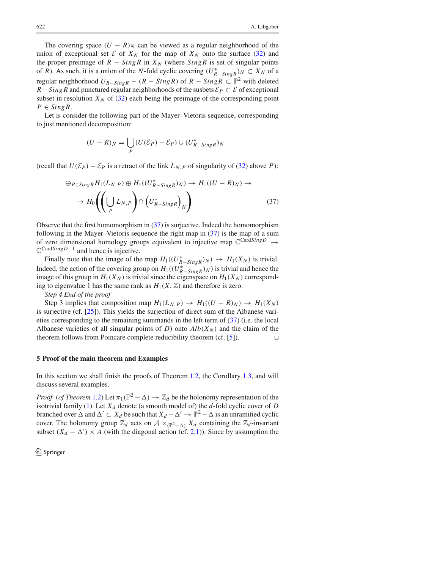The covering space  $(U - R)<sub>N</sub>$  can be viewed as a regular neighborhood of the union of exceptional set  $\mathcal{E}$  of  $X_N$  for the map of  $X_N$  onto the surface (32) and the proper preimage of  $R - SingR$  in  $X_N$  (where  $SingR$  is set of singular points of *R*). As such, it is a union of the *N*-fold cyclic covering  $(U_{R-SingR}^*)_N \subset X_N$  of a regular neighborhood  $U_{R-SingR}$  −  $(R-SingR)$  of  $R-SingR \subset \mathbb{P}^2$  with deleted *R*−*SingR* and punctured regular neighborhoods of the susbets  $\mathcal{E}_P \subset \mathcal{E}$  of exceptional subset in resolution  $X_N$  of (32) each being the preimage of the corresponding point  $P \in SingR$ .

Let is consider the following part of the Mayer–Vietoris sequence, corresponding to just mentioned decomposition:

$$
(U - R)N = \bigcup_{P} (U(\mathcal{E}_{P}) - \mathcal{E}_{P}) \cup (U_{R-SingR}^{*})N
$$

(recall that  $U(\mathcal{E}_P) - \mathcal{E}_P$  is a retract of the link  $L_{N,P}$  of singularity of (32) above *P*):

$$
\oplus_{P \in SingR} H_1(L_{N,P}) \oplus H_1((U_{R-SingR}^*)_N) \to H_1((U-R)_N) \to
$$
  

$$
\to H_0\left(\left(\bigcup_P L_{N,P}\right) \cap \left(U_{R-SingR}^*\right)_N\right) \tag{37}
$$

Observe that the first homomorphism in (37) is surjective. Indeed the homomorphism following in the Mayer–Vietoris sequence the right map in  $(37)$  is the map of a sum of zero dimensional homology groups equivalent to injective map <sup>C</sup>Card*SingD* <sup>→</sup>  $\mathbb{C}^{\text{CardSing }D+1}$  and hence is injective.

Finally note that the image of the map  $H_1((U^*_{R-SingR})_N) \to H_1(X_N)$  is trivial. Indeed, the action of the covering group on  $H_1((U_{R-SingR}^*)_N)$  is trivial and hence the image of this group in  $H_1(X_N)$  is trivial since the eigenspace on  $H_1(X_N)$  corresponding to eigenvalue 1 has the same rank as  $H_1(X, \mathbb{Z})$  and therefore is zero.

*Step 4 End of the proof*

Step 3 implies that composition map  $H_1(L_{N,P}) \to H_1((U - R)_N) \to H_1(X_N)$ is surjective (cf. [25]). This yields the surjection of direct sum of the Albanese varieties corresponding to the remaining summands in the left term of (37) (i.e. the local Albanese varieties of all singular points of *D*) onto  $Alb(X_N)$  and the claim of the theorem follows from Poincare complete reducibility theorem (cf. [5]).  $□$ 

# **5 Proof of the main theorem and Examples**

In this section we shall finish the proofs of Theorem 1.2, the Corollary 1.3, and will discuss several examples.

*Proof* (*of Theorem* 1.2) Let  $\pi_1(\mathbb{P}^2 - \Delta) \to \mathbb{Z}_d$  be the holonomy representation of the isotrivial family (1). Let  $X_d$  denote (a smooth model of) the  $d$ -fold cyclic cover of  $D$ branched over  $\Delta$  and  $\Delta' \subset X_d$  be such that  $X_d - \Delta' \to \mathbb{P}^2 - \Delta$  is an unramified cyclic cover. The holonomy group  $\mathbb{Z}_d$  acts on  $\mathcal{A} \times_{(\mathbb{P}^2 - \Delta)} X_d$  containing the  $\mathbb{Z}_d$ -invariant subset  $(X_d - \Delta') \times A$  (with the diagonal action (cf. 2.1)). Since by assumption the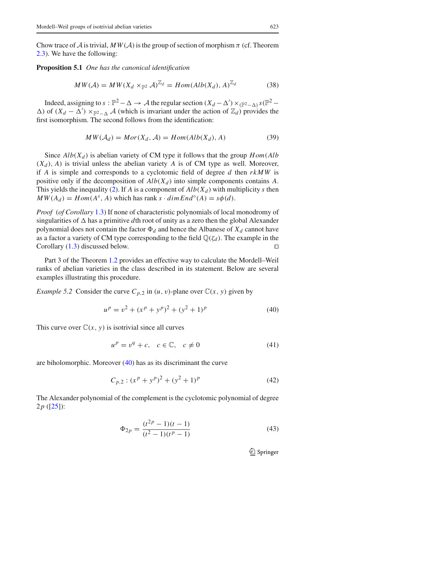Chow trace of  $A$  is trivial,  $MW(A)$  is the group of section of morphism  $\pi$  (cf. Theorem 2.3). We have the following:

**Proposition 5.1** *One has the canonical identification*

$$
MW(\mathcal{A}) = MW(X_d \times_{\mathbb{P}^2} \mathcal{A})^{\mathbb{Z}_d} = Hom(\text{Alb}(X_d), A)^{\mathbb{Z}_d}
$$
(38)

Indeed, assigning to  $s : \mathbb{P}^2 - \Delta \to \mathcal{A}$  the regular section  $(X_d - \Delta') \times (\mathbb{P}^2 - \Delta)^s (\mathbb{P}^2 - \Delta)$  $\Delta$ ) of  $(X_d - \Delta') \times_{\mathbb{P}^2 - \Delta} A$  (which is invariant under the action of  $\mathbb{Z}_d$ ) provides the first isomorphism. The second follows from the identification:

$$
MW(\mathcal{A}_d) = Mor(X_d, \mathcal{A}) = Hom(Alb(X_d), A)
$$
\n(39)

Since  $Alb(X_d)$  is abelian variety of CM type it follows that the group  $Hom(Alb)$  $(X_d)$ , *A*) is trivial unless the abelian variety *A* is of CM type as well. Moreover, if *A* is simple and corresponds to a cyclotomic field of degree *d* then *rkMW* is positive only if the decomposition of  $Alb(X_d)$  into simple components contains A. This yields the inequality (2). If *A* is a component of  $Alb(X_d)$  with multiplicity *s* then  $MW(A_d) = Hom(A<sup>s</sup>, A)$  which has rank  $s \cdot dimEnd<sup>o</sup>(A) = s\phi(d)$ .

*Proof* (*of Corollary* 1.3) If none of characteristic polynomials of local monodromy of singularities of  $\Delta$  has a primitive *d*th root of unity as a zero then the global Alexander polynomial does not contain the factor  $\Phi_d$  and hence the Albanese of  $X_d$  cannot have as a factor a variety of CM type corresponding to the field  $\mathbb{Q}(\zeta_d)$ . The example in the Corollary (1.3) discussed below. □  $\Box$ 

Part 3 of the Theorem 1.2 provides an effective way to calculate the Mordell–Weil ranks of abelian varieties in the class described in its statement. Below are several examples illustrating this procedure.

*Example 5.2* Consider the curve  $C_{p,2}$  in  $(u, v)$ -plane over  $\mathbb{C}(x, y)$  given by

$$
up = v2 + (xp + yp)2 + (y2 + 1)p
$$
 (40)

This curve over  $\mathbb{C}(x, y)$  is isotrivial since all curves

$$
u^p = v^q + c, \quad c \in \mathbb{C}, \quad c \neq 0 \tag{41}
$$

are biholomorphic. Moreover (40) has as its discriminant the curve

$$
C_{p,2}: (x^p + y^p)^2 + (y^2 + 1)^p \tag{42}
$$

The Alexander polynomial of the complement is the cyclotomic polynomial of degree 2*p* ([25]):

$$
\Phi_{2p} = \frac{(t^{2p} - 1)(t - 1)}{(t^2 - 1)(t^p - 1)}
$$
\n(43)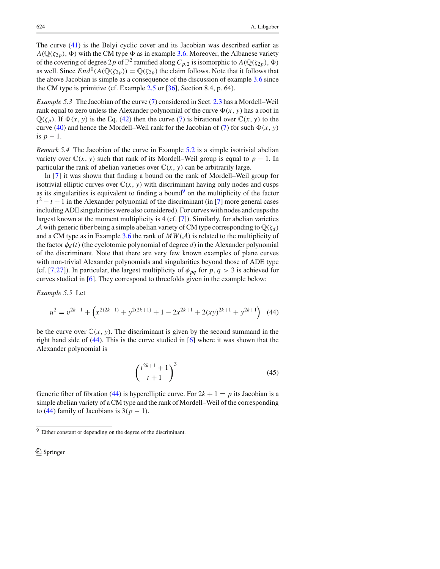The curve (41) is the Belyi cyclic cover and its Jacobian was described earlier as  $A(\mathbb{Q}(\zeta_{2p}), \Phi)$  with the CM type  $\Phi$  as in example 3.6. Moreover, the Albanese variety of the covering of degree 2p of  $\mathbb{P}^2$  ramified along  $C_{p,2}$  is isomorphic to  $A(\mathbb{Q}(\zeta_{2p}), \Phi)$ as well. Since  $End^0(A(\mathbb{Q}(\zeta_{2p})) = \mathbb{Q}(\zeta_{2p})$  the claim follows. Note that it follows that the above Jacobian is simple as a consequence of the discussion of example 3.6 since the CM type is primitive (cf. Example 2.5 or [36], Section 8.4, p. 64).

*Example 5.3* The Jacobian of the curve (7) considered in Sect. 2.3 has a Mordell–Weil rank equal to zero unless the Alexander polynomial of the curve  $\Phi(x, y)$  has a root in  $\mathbb{Q}(\zeta_p)$ . If  $\Phi(x, y)$  is the Eq. (42) then the curve (7) is birational over  $\mathbb{C}(x, y)$  to the curve (40) and hence the Mordell–Weil rank for the Jacobian of (7) for such  $\Phi(x, y)$ is  $p-1$ .

*Remark 5.4* The Jacobian of the curve in Example 5.2 is a simple isotrivial abelian variety over  $\mathbb{C}(x, y)$  such that rank of its Mordell–Weil group is equal to  $p - 1$ . In particular the rank of abelian varieties over  $\mathbb{C}(x, y)$  can be arbitrarily large.

In [7] it was shown that finding a bound on the rank of Mordell–Weil group for isotrivial elliptic curves over  $\mathbb{C}(x, y)$  with discriminant having only nodes and cusps as its singularities is equivalent to finding a bound<sup>9</sup> on the multiplicity of the factor  $t^2 - t + 1$  in the Alexander polynomial of the discriminant (in [7] more general cases including ADE singularities were also considered). For curves with nodes and cusps the largest known at the moment multiplicity is 4 (cf. [7]). Similarly, for abelian varieties *A* with generic fiber being a simple abelian variety of CM type corresponding to  $\mathbb{Q}(\zeta_d)$ and a CM type as in Example 3.6 the rank of  $MW(A)$  is related to the multiplicity of the factor  $\phi_d(t)$  (the cyclotomic polynomial of degree *d*) in the Alexander polynomial of the discriminant. Note that there are very few known examples of plane curves with non-trivial Alexander polynomials and singularities beyond those of ADE type (cf. [7,27]). In particular, the largest multiplicity of  $\phi_{pq}$  for  $p, q > 3$  is achieved for curves studied in [6]. They correspond to threefolds given in the example below:

*Example 5.5* Let

$$
u^{2} = v^{2k+1} + \left(x^{2(2k+1)} + y^{2(2k+1)} + 1 - 2x^{2k+1} + 2(xy)^{2k+1} + y^{2k+1}\right)
$$
 (44)

be the curve over  $\mathbb{C}(x, y)$ . The discriminant is given by the second summand in the right hand side of (44). This is the curve studied in [6] where it was shown that the Alexander polynomial is

$$
\left(\frac{t^{2k+1}+1}{t+1}\right)^3\tag{45}
$$

Generic fiber of fibration (44) is hyperelliptic curve. For  $2k + 1 = p$  its Jacobian is a simple abelian variety of a CM type and the rank of Mordell–Weil of the corresponding to (44) family of Jacobians is  $3(p - 1)$ .

<sup>9</sup> Either constant or depending on the degree of the discriminant.

 $\mathcal{L}$  Springer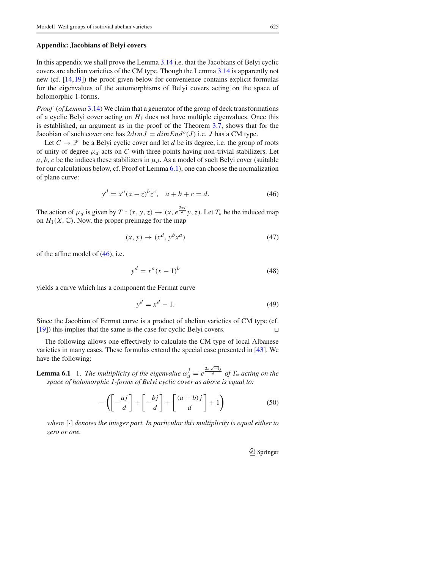#### **Appendix: Jacobians of Belyi covers**

In this appendix we shall prove the Lemma 3.14 i.e. that the Jacobians of Belyi cyclic covers are abelian varieties of the CM type. Though the Lemma 3.14 is apparently not new (cf. [14,19]) the proof given below for convenience contains explicit formulas for the eigenvalues of the automorphisms of Belyi covers acting on the space of holomorphic 1-forms.

*Proof* (*of Lemma* 3.14) We claim that a generator of the group of deck transformations of a cyclic Belyi cover acting on  $H_1$  does not have multiple eigenvalues. Once this is established, an argument as in the proof of the Theorem 3.7, shows that for the Jacobian of such cover one has  $2dim J = dim End<sup>o</sup>(J)$  i.e. *J* has a CM type.

Let  $C \to \mathbb{P}^1$  be a Belyi cyclic cover and let *d* be its degree, i.e. the group of roots of unity of degree  $\mu_d$  acts on *C* with three points having non-trivial stabilizers. Let *a*, *b*, *c* be the indices these stabilizers in  $\mu_d$ . As a model of such Belyi cover (suitable for our calculations below, cf. Proof of Lemma 6.1), one can choose the normalization of plane curve:

$$
y^{d} = x^{a}(x - z)^{b}z^{c}, \quad a + b + c = d.
$$
 (46)

The action of  $\mu_d$  is given by  $T : (x, y, z) \to (x, e^{\frac{2\pi i}{d}}y, z)$ . Let  $T_*$  be the induced map on  $H_1(X, \mathbb{C})$ . Now, the proper preimage for the map

$$
(x, y) \rightarrow (x^d, y^b x^a) \tag{47}
$$

of the affine model of (46), i.e.

$$
y^d = x^a (x - 1)^b \tag{48}
$$

yields a curve which has a component the Fermat curve

$$
y^d = x^d - 1.\tag{49}
$$

Since the Jacobian of Fermat curve is a product of abelian varieties of CM type (cf. [19]) this implies that the same is the case for cyclic Belyi covers. ⊓,

The following allows one effectively to calculate the CM type of local Albanese varieties in many cases. These formulas extend the special case presented in [43]. We have the following:

**Lemma 6.1** 1. *The multiplicity of the eigenvalue*  $\omega_d^j = e^{\frac{2\pi \sqrt{-1}j}{d}}$  *of*  $T_*$  *acting on the space of holomorphic 1-forms of Belyi cyclic cover as above is equal to:*

$$
-\left(\left[-\frac{aj}{d}\right]+\left[-\frac{bj}{d}\right]+\left[\frac{(a+b)j}{d}\right]+1\right) \tag{50}
$$

*where* [·] *denotes the integer part. In particular this multiplicity is equal either to zero or one.*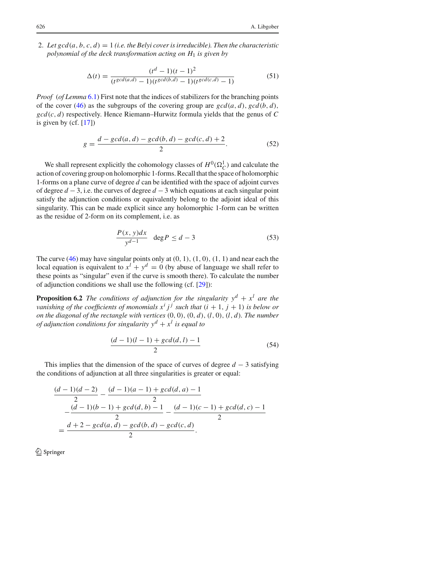2. Let  $gcd(a, b, c, d) = 1$  *(i.e. the Belyi cover is irreducible). Then the characteristic polynomial of the deck transformation acting on H*<sup>1</sup> *is given by*

$$
\Delta(t) = \frac{(t^d - 1)(t - 1)^2}{(t \gcd(a, d) - 1)(t \gcd(b, d) - 1)(t \gcd(c, d) - 1)}
$$
(51)

*Proof* (*of Lemma* 6.1) First note that the indices of stabilizers for the branching points of the cover (46) as the subgroups of the covering group are  $gcd(a, d)$ ,  $gcd(b, d)$ , *gcd(c, d)* respectively. Hence Riemann–Hurwitz formula yields that the genus of *C* is given by  $(cf. [17])$ 

$$
g = \frac{d - \gcd(a, d) - \gcd(b, d) - \gcd(c, d) + 2}{2}.
$$
 (52)

We shall represent explicitly the cohomology classes of  $H^0(\Omega_C^1)$  and calculate the action of covering group on holomorphic 1-forms. Recall that the space of holomorphic 1-forms on a plane curve of degree *d* can be identified with the space of adjoint curves of degree *d* − 3, i.e. the curves of degree *d* − 3 which equations at each singular point satisfy the adjunction conditions or equivalently belong to the adjoint ideal of this singularity. This can be made explicit since any holomorphic 1-form can be written as the residue of 2-form on its complement, i.e. as

$$
\frac{P(x, y)dx}{y^{d-1}} \quad \deg P \le d - 3 \tag{53}
$$

The curve (46) may have singular points only at *(*0*,* 1*), (*1*,* 0*), (*1*,* 1*)* and near each the local equation is equivalent to  $x^l + y^d = 0$  (by abuse of language we shall refer to these points as "singular" even if the curve is smooth there). To calculate the number of adjunction conditions we shall use the following (cf. [29]):

**Proposition 6.2** *The conditions of adjunction for the singularity*  $y^d + x^l$  *are the vanishing of the coefficients of monomials*  $x^i j^j$  *such that*  $(i + 1, j + 1)$  *is below or on the diagonal of the rectangle with vertices (*0*,* 0*), (*0*, d), (l,* 0*), (l, d). The number of adjunction conditions for singularity*  $y^d + x^l$  *is equal to* 

$$
\frac{(d-1)(l-1) + \gcd(d, l) - 1}{2} \tag{54}
$$

This implies that the dimension of the space of curves of degree  $d - 3$  satisfying the conditions of adjunction at all three singularities is greater or equal:

$$
\frac{(d-1)(d-2)}{2} - \frac{(d-1)(a-1) + \gcd(d, a) - 1}{2}
$$

$$
= \frac{(d-1)(b-1) + \gcd(d, b) - 1}{2} - \frac{(d-1)(c-1) + \gcd(d, c) - 1}{2}
$$

$$
= \frac{d+2 - \gcd(a, d) - \gcd(b, d) - \gcd(c, d)}{2}.
$$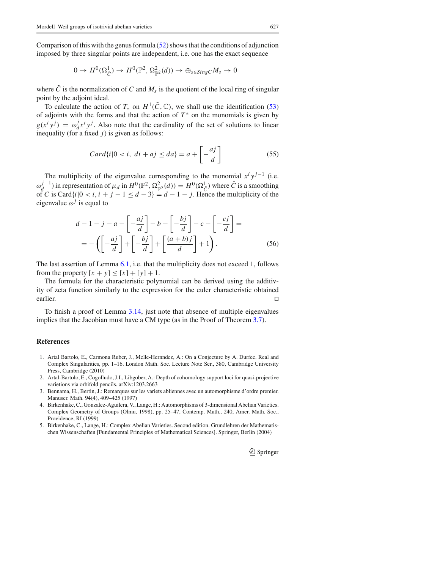Comparison of this with the genus formula  $(52)$  shows that the conditions of adjunction imposed by three singular points are independent, i.e. one has the exact sequence

$$
0 \to H^0(\Omega^1_{\tilde{C}}) \to H^0(\mathbb{P}^2, \Omega^2_{\mathbb{P}^2}(d)) \to \oplus_{s \in SingC} M_s \to 0
$$

where  $\tilde{C}$  is the normalization of  $C$  and  $M_s$  is the quotient of the local ring of singular point by the adjoint ideal.

To calculate the action of  $T_*$  on  $H^1(\tilde{C}, \mathbb{C})$ , we shall use the identification (53) of adjoints with the forms and that the action of  $T^*$  on the monomials is given by  $g(x^i y^j) = \omega_d^j x^i y^j$ . Also note that the cardinality of the set of solutions to linear inequality (for a fixed *j*) is given as follows:

$$
Card\{i|0\n(55)
$$

The multiplicity of the eigenvalue corresponding to the monomial  $x^{i}y^{j-1}$  (i.e.  $\omega_d^{j-1}$ ) in representation of  $\mu_d$  in  $H^0(\mathbb{P}^2, \Omega_{\mathbb{P}^2}^2(d)) = H^0(\Omega_c^1)$  where  $\bar{C}$  is a smoothing of *C* is Card $\{i \mid 0 \le i, i + j - 1 \le d - 3\} = d - 1 - j$ . Hence the multiplicity of the eigenvalue  $\omega^j$  is equal to

$$
d-1-j-a-\left[-\frac{aj}{d}\right]-b-\left[-\frac{bj}{d}\right]-c-\left[-\frac{cj}{d}\right]=
$$
  
=-\left(\left[-\frac{aj}{d}\right]+\left[-\frac{bj}{d}\right]+\left[\frac{(a+b)j}{d}\right]+1\right). (56)

The last assertion of Lemma 6.1, i.e. that the multiplicity does not exceed 1, follows from the property  $[x + y] \leq [x] + [y] + 1$ .

The formula for the characteristic polynomial can be derived using the additivity of zeta function similarly to the expression for the euler characteristic obtained earlier. □

To finish a proof of Lemma 3.14, just note that absence of multiple eigenvalues implies that the Jacobian must have a CM type (as in the Proof of Theorem 3.7).

# **References**

- 1. Artal Bartolo, E., Carmona Ruber, J., Melle-Hernndez, A.: On a Conjecture by A. Durfee. Real and Complex Singularities, pp. 1–16. London Math. Soc. Lecture Note Ser., 380, Cambridge University Press, Cambridge (2010)
- 2. Artal-Bartolo, E., Cogolludo, J.I., Libgober, A.: Depth of cohomology support loci for quasi-projective varietions via orbifold pencils. arXiv:1203.2663
- 3. Bennama, H., Bertin, J.: Remarques sur les variets abliennes avec un automorphisme d'ordre premier. Manuscr. Math. **94**(4), 409–425 (1997)
- 4. Birkenhake, C., Gonzalez-Aguilera, V., Lange, H.: Automorphisms of 3-dimensional Abelian Varieties. Complex Geometry of Groups (Olmu, 1998), pp. 25–47, Contemp. Math., 240, Amer. Math. Soc., Providence, RI (1999)
- 5. Birkenhake, C., Lange, H.: Complex Abelian Varieties. Second edition. Grundlehren der Mathematischen Wissenschaften [Fundamental Principles of Mathematical Sciences]. Springer, Berlin (2004)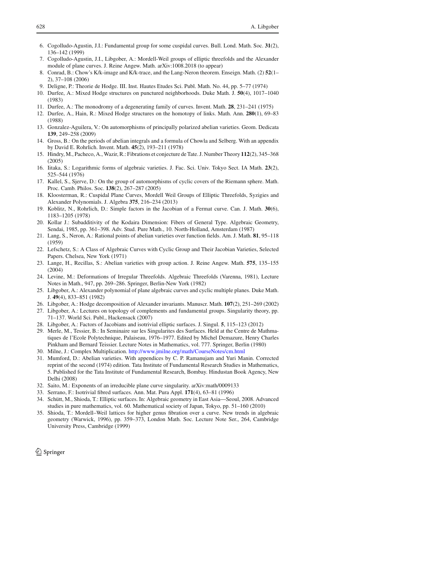- 6. Cogolludo-Agustin, J.I.: Fundamental group for some cuspidal curves. Bull. Lond. Math. Soc. **31**(2), 136–142 (1999)
- 7. Cogolludo-Agustin, J.I., Libgober, A.: Mordell-Weil groups of elliptic threefolds and the Alexander module of plane curves. J. Reine Angew. Math. arXiv:1008.2018 (to appear)
- 8. Conrad, B.: Chow's K/k-image and K/k-trace, and the Lang-Neron theorem. Enseign. Math. (2) **52**(1– 2), 37–108 (2006)
- 9. Deligne, P.: Theorie de Hodge. III. Inst. Hautes Etudes Sci. Publ. Math. No. 44, pp. 5–77 (1974)
- 10. Durfee, A.: Mixed Hodge structures on punctured neighborhoods. Duke Math. J. **50**(4), 1017–1040 (1983)
- 11. Durfee, A.: The monodromy of a degenerating family of curves. Invent. Math. **28**, 231–241 (1975)
- 12. Durfee, A., Hain, R.: Mixed Hodge structures on the homotopy of links. Math. Ann. **280**(1), 69–83 (1988)
- 13. Gonzalez-Aguilera, V.: On automorphisms of principally polarized abelian varieties. Geom. Dedicata **139**, 249–258 (2009)
- 14. Gross, B.: On the periods of abelian integrals and a formula of Chowla and Selberg. With an appendix by David E. Rohrlich. Invent. Math. **45**(2), 193–211 (1978)
- 15. Hindry, M., Pacheco, A.,Wazir, R.: Fibrations et conjecture de Tate. J. Number Theory **112**(2), 345–368 (2005)
- 16. Iitaka, S.: Logarithmic forms of algebraic varieties. J. Fac. Sci. Univ. Tokyo Sect. IA Math. **23**(2), 525–544 (1976)
- 17. Kallel, S., Sjerve, D.: On the group of automorphisms of cyclic covers of the Riemann sphere. Math. Proc. Camb. Philos. Soc. **138**(2), 267–287 (2005)
- 18. Kloosterman, R.: Cuspidal Plane Curves, Mordell Weil Groups of Elliptic Threefolds, Syzigies and Alexander Polynomials. J. Algebra **375**, 216–234 (2013)
- 19. Koblitz, N., Rohrlich, D.: Simple factors in the Jacobian of a Fermat curve. Can. J. Math. **30**(6), 1183–1205 (1978)
- 20. Kollar J.: Subadditivity of the Kodaira Dimension: Fibers of General Type. Algebraic Geometry, Sendai, 1985, pp. 361–398. Adv. Stud. Pure Math., 10. North-Holland, Amsterdam (1987)
- 21. Lang, S., Neron, A.: Rational points of abelian varieties over function fields. Am. J. Math. **81**, 95–118 (1959)
- 22. Lefschetz, S.: A Class of Algebraic Curves with Cyclic Group and Their Jacobian Varieties, Selected Papers. Chelsea, New York (1971)
- 23. Lange, H., Recillas, S.: Abelian varieties with group action. J. Reine Angew. Math. **575**, 135–155 (2004)
- 24. Levine, M.: Deformations of Irregular Threefolds. Algebraic Threefolds (Varenna, 1981), Lecture Notes in Math., 947, pp. 269–286. Springer, Berlin-New York (1982)
- 25. Libgober, A.: Alexander polynomial of plane algebraic curves and cyclic multiple planes. Duke Math. J. **49**(4), 833–851 (1982)
- 26. Libgober, A.: Hodge decomposition of Alexander invariants. Manuscr. Math. **107**(2), 251–269 (2002) 27. Libgober, A.: Lectures on topology of complements and fundamental groups. Singularity theory, pp. 71–137. World Sci. Publ., Hackensack (2007)
- 28. Libgober, A.: Factors of Jacobians and isotrivial elliptic surfaces. J. Singul. **5**, 115–123 (2012)
- 29. Merle, M., Tessier, B.: In Seminaire sur les Singularites des Surfaces. Held at the Centre de Mathmatiques de l'Ecole Polytechnique, Palaiseau, 1976–1977. Edited by Michel Demazure, Henry Charles Pinkham and Bernard Teissier. Lecture Notes in Mathematics, vol. 777. Springer, Berlin (1980)
- 30. Milne, J.: Complex Multiplication. http://www.jmilne.org/math/CourseNotes/cm.html
- 31. Mumford, D.: Abelian varieties. With appendices by C. P. Ramanujam and Yuri Manin. Corrected reprint of the second (1974) edition. Tata Institute of Fundamental Research Studies in Mathematics, 5. Published for the Tata Institute of Fundamental Research, Bombay. Hindustan Book Agency, New Delhi (2008)
- 32. Saito, M.: Exponents of an irreducible plane curve singularity. arXiv:math/0009133
- 33. Serrano, F.: Isotrivial fibred surfaces. Ann. Mat. Pura Appl. **171**(4), 63–81 (1996)
- 34. Schütt, M., Shioda, T.: Elliptic surfaces. In: Algebraic geometry in East Asia—Seoul, 2008. Advanced studies in pure mathematics, vol. 60. Mathematical society of Japan, Tokyo, pp. 51–160 (2010)
- 35. Shioda, T.: Mordell–Weil lattices for higher genus fibration over a curve. New trends in algebraic geometry (Warwick, 1996), pp. 359–373, London Math. Soc. Lecture Note Ser., 264, Cambridge University Press, Cambridge (1999)